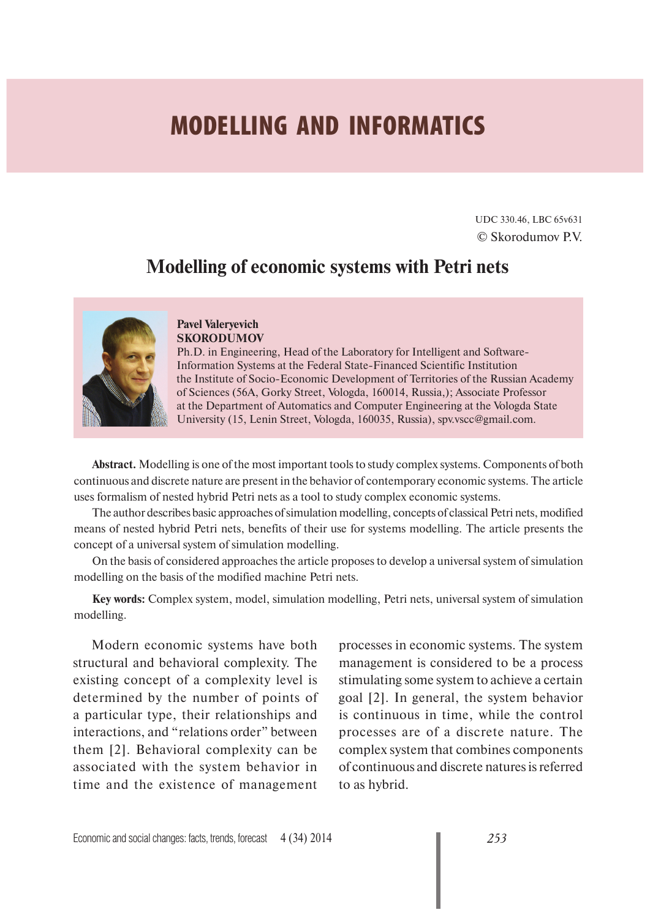# **MODELLING AND INFORMATICS**

UDC 330.46, LBC 65v631 © Skorodumov P.V.

## **Modelling of economic systems with Petri nets**



#### **Pavel Valeryevich SKORODUMOV**

Ph.D. in Engineering, Head of the Laboratory for Intelligent and Software-Information Systems at the Federal State-Financed Scientific Institution the Institute of Socio-Economic Development of Territories of the Russian Academy of Sciences (56A, Gorky Street, Vologda, 160014, Russia,); Associate Professor at the Department of Automatics and Computer Engineering at the Vologda State University (15, Lenin Street, Vologda, 160035, Russia), spv.vscc@gmail.com.

**Abstract.** Modelling is one of the most important tools to study complex systems. Components of both continuous and discrete nature are present in the behavior of contemporary economic systems. The article uses formalism of nested hybrid Petri nets as a tool to study complex economic systems.

The author describes basic approaches of simulation modelling, concepts of classical Petri nets, modified means of nested hybrid Petri nets, benefits of their use for systems modelling. The article presents the concept of a universal system of simulation modelling.

On the basis of considered approaches the article proposes to develop a universal system of simulation modelling on the basis of the modified machine Petri nets.

**Key words:** Complex system, model, simulation modelling, Petri nets, universal system of simulation modelling.

Modern economic systems have both structural and behavioral complexity. The existing concept of a complexity level is determined by the number of points of a particular type, their relationships and interactions, and "relations order" between them [2]. Behavioral complexity can be associated with the system behavior in time and the existence of management processes in economic systems. The system management is considered to be a process stimulating some system to achieve a certain goal [2]. In general, the system behavior is continuous in time, while the control processes are of a discrete nature. The complex system that combines components of continuous and discrete natures is referred to as hybrid.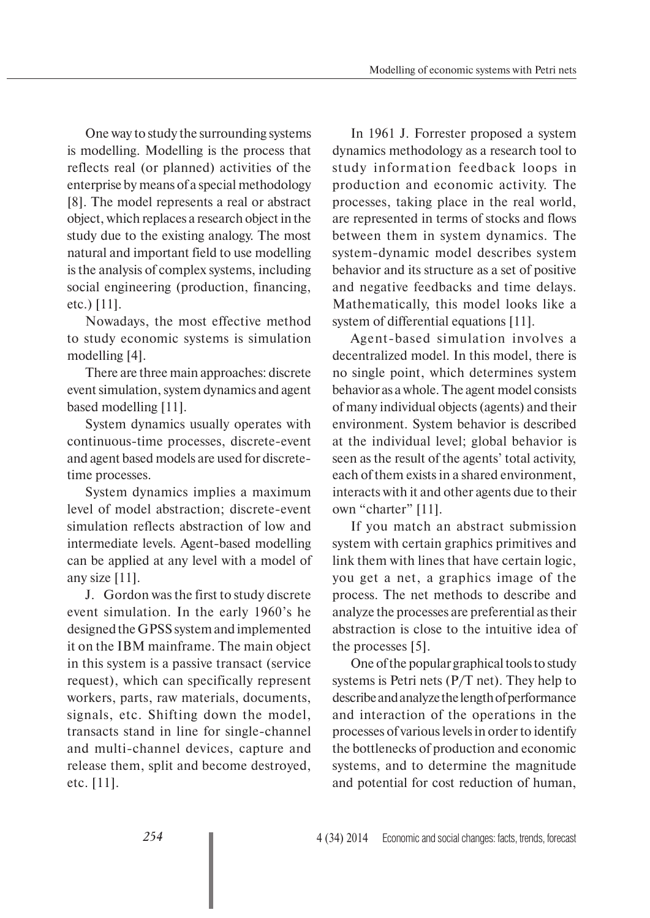One way to study the surrounding systems is modelling. Modelling is the process that reflects real (or planned) activities of the enterprise by means of a special methodology [8]. The model represents a real or abstract object, which replaces a research object in the study due to the existing analogy. The most natural and important field to use modelling is the analysis of complex systems, including social engineering (production, financing, etc.) [11].

Nowadays, the most effective method to study economic systems is simulation modelling [4].

There are three main approaches: discrete event simulation, system dynamics and agent based modelling [11].

System dynamics usually operates with continuous-time processes, discrete-event and agent based models are used for discretetime processes.

System dynamics implies a maximum level of model abstraction; discrete-event simulation reflects abstraction of low and intermediate levels. Agent-based modelling can be applied at any level with a model of any size [11].

J. Gordon was the first to study discrete event simulation. In the early 1960's he designed the GPSS system and implemented it on the IBM mainframe. The main object in this system is a passive transact (service request), which can specifically represent workers, parts, raw materials, documents, signals, etc. Shifting down the model, transacts stand in line for single-channel and multi-channel devices, capture and release them, split and become destroyed, etc. [11].

In 1961 J. Forrester proposed a system dynamics methodology as a research tool to study information feedback loops in production and economic activity. The processes, taking place in the real world, are represented in terms of stocks and flows between them in system dynamics. The system-dynamic model describes system behavior and its structure as a set of positive and negative feedbacks and time delays. Mathematically, this model looks like a system of differential equations [11].

Agent-based simulation involves a decentralized model. In this model, there is no single point, which determines system behavior as a whole. The agent model consists of many individual objects (agents) and their environment. System behavior is described at the individual level; global behavior is seen as the result of the agents' total activity, each of them exists in a shared environment, interacts with it and other agents due to their own "charter" [11].

If you match an abstract submission system with certain graphics primitives and link them with lines that have certain logic, you get a net, a graphics image of the process. The net methods to describe and analyze the processes are preferential as their abstraction is close to the intuitive idea of the processes [5].

One of the popular graphical tools to study systems is Petri nets (P/T net). They help to describe and analyze the length of performance and interaction of the operations in the processes of various levels in order to identify the bottlenecks of production and economic systems, and to determine the magnitude and potential for cost reduction of human,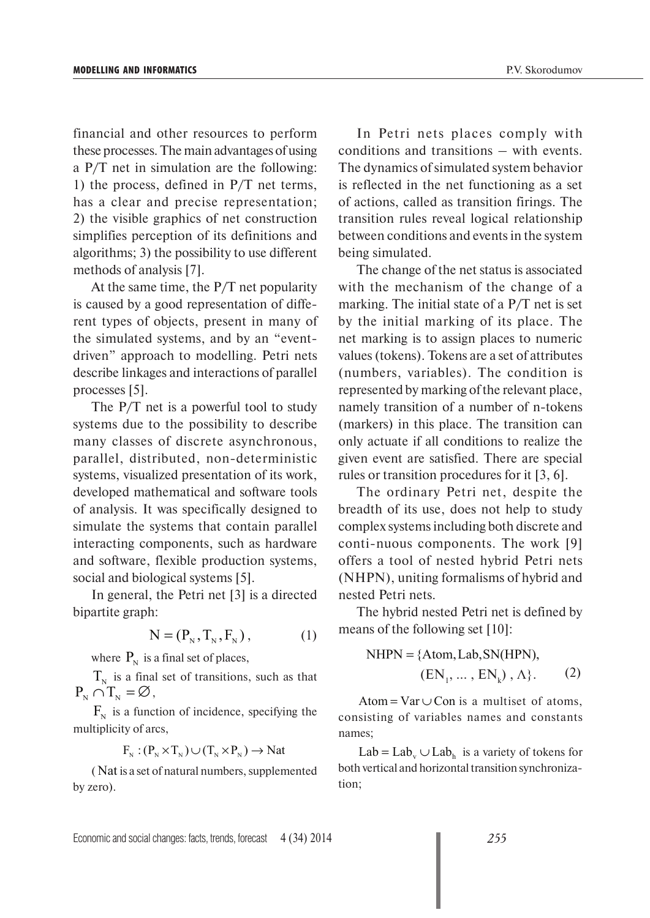financial and other resources to perform these processes. The main advantages of using a P/T net in simulation are the following: 1) the process, defined in P/T net terms, has a clear and precise representation; 2) the visible graphics of net construction simplifies perception of its definitions and algorithms; 3) the possibility to use different methods of analysis [7].

At the same time, the P/T net popularity is caused by a good representation of different types of objects, present in many of the simulated systems, and by an "eventdriven" approach to modelling. Petri nets describe linkages and interactions of parallel processes [5].

The P/T net is a powerful tool to study systems due to the possibility to describe many classes of discrete asynchronous, parallel, distributed, non-deterministic systems, visualized presentation of its work, developed mathematical and software tools of analysis. It was specifically designed to simulate the systems that contain parallel interacting components, such as hardware and software, flexible production systems, social and biological systems [5].

In general, the Petri net [3] is a directed bipartite graph:

$$
N = (PN, TN, FN), \t(1)
$$

where  $P_N$  is a final set of places,

 $T_{\rm N}$  is a final set of transitions, such as that  $P_{N} \cap T_{N} = \emptyset$ ,

 $F_{N}$  is a function of incidence, specifying the multiplicity of arcs,

$$
F_N : (P_N \times T_N) \cup (T_N \times P_N) \to Nat
$$

( Nat is a set of natural numbers, supplemented by zero).

In Petri nets places comply with conditions and transitions – with events. The dynamics of simulated system behavior is reflected in the net functioning as a set of actions, called as transition firings. The transition rules reveal logical relationship between conditions and events in the system being simulated.

The change of the net status is associated with the mechanism of the change of a marking. The initial state of a P/T net is set by the initial marking of its place. The net marking is to assign places to numeric values (tokens). Tokens are a set of attributes (numbers, variables). The condition is represented by marking of the relevant place, namely transition of a number of n-tokens (markers) in this place. The transition can only actuate if all conditions to realize the given event are satisfied. There are special rules or transition procedures for it [3, 6].

The ordinary Petri net, despite the breadth of its use, does not help to study complex systems including both discrete and conti-nuous components. The work [9] offers a tool of nested hybrid Petri nets (NHPN), uniting formalisms of hybrid and nested Petri nets.

The hybrid nested Petri net is defined by means of the following set [10]:

NHPN = {Atom, Lab, SN(HPN),  
\n
$$
(EN_1, ..., EN_k), \Lambda\}.
$$
 (2)

Atom =  $Var \cup Con$  is a multiset of atoms, consisting of variables names and constants names;

 $Lab = Lab_{v} \cup Lab_{h}$  is a variety of tokens for both vertical and horizontal transition synchronization;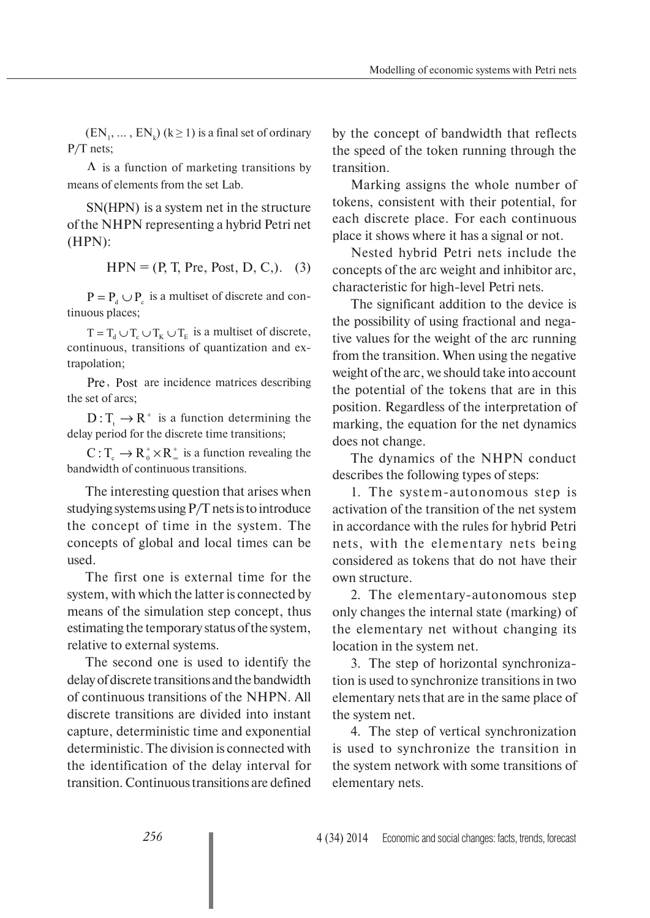$(EN_1, ..., EN_k)$   $(k \ge 1)$  is a final set of ordinary P/T nets;

 $\Lambda$  is a function of marketing transitions by means of elements from the set Lab.

SN(HPN) is a system net in the structure of the NHPN representing a hybrid Petri net (HPN):

 $HPN = (P, T, Pre, Post, D, C)$ . (3)

 $P = P_d \cup P_c$  is a multiset of discrete and continuous places;

 $T = T_d \cup T_c \cup T_K \cup T_E$  is a multiset of discrete, continuous, transitions of quantization and extrapolation;

Pre, Post are incidence matrices describing the set of arcs;

 $D: T_{t} \to R^{+}$  is a function determining the delay period for the discrete time transitions;

+  $C: T_c \to R_0^+ \times R_{\infty}^+$  is a function revealing the bandwidth of continuous transitions.

The interesting question that arises when studying systems using P/T nets is to introduce the concept of time in the system. The concepts of global and local times can be used.

The first one is external time for the system, with which the latter is connected by means of the simulation step concept, thus estimating the temporary status of the system, relative to external systems.

The second one is used to identify the delay of discrete transitions and the bandwidth of continuous transitions of the NHPN. All discrete transitions are divided into instant capture, deterministic time and exponential deterministic. The division is connected with the identification of the delay interval for transition. Continuous transitions are defined

by the concept of bandwidth that reflects the speed of the token running through the transition.

Marking assigns the whole number of tokens, consistent with their potential, for each discrete place. For each continuous place it shows where it has a signal or not.

Nested hybrid Petri nets include the concepts of the arc weight and inhibitor arc, characteristic for high-level Petri nets.

The significant addition to the device is the possibility of using fractional and negative values for the weight of the arc running from the transition. When using the negative weight of the arc, we should take into account the potential of the tokens that are in this position. Regardless of the interpretation of marking, the equation for the net dynamics does not change.

The dynamics of the NHPN conduct describes the following types of steps:

1. The system-autonomous step is activation of the transition of the net system in accordance with the rules for hybrid Petri nets, with the elementary nets being considered as tokens that do not have their own structure.

2. The elementary-autonomous step only changes the internal state (marking) of the elementary net without changing its location in the system net.

3. The step of horizontal synchronization is used to synchronize transitions in two elementary nets that are in the same place of the system net.

4. The step of vertical synchronization is used to synchronize the transition in the system network with some transitions of elementary nets.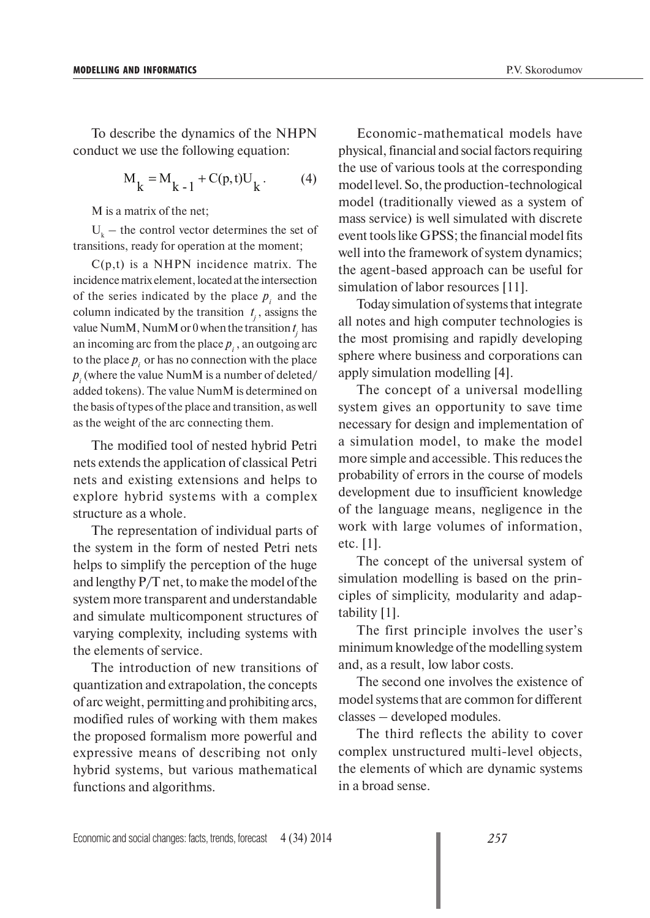To describe the dynamics of the NHPN conduct we use the following equation:

$$
M_k = M_{k-1} + C(p, t)U_k.
$$
 (4)

M is a matrix of the net;

 $U_k$  – the control vector determines the set of transitions, ready for operation at the moment;

 $C(p,t)$  is a NHPN incidence matrix. The incidence matrix element, located at the intersection of the series indicated by the place  $p_i$  and the column indicated by the transition  $t_j$ , assigns the value NumM, NumM or 0 when the transition  $t_j$  has an incoming arc from the place  $p_i$ , an outgoing arc to the place  $p_i$  or has no connection with the place  $p_i$  (where the value NumM is a number of deleted/ added tokens). The value NumM is determined on the basis of types of the place and transition, as well as the weight of the arc connecting them.

The modified tool of nested hybrid Petri nets extends the application of classical Petri nets and existing extensions and helps to explore hybrid systems with a complex structure as a whole.

The representation of individual parts of the system in the form of nested Petri nets helps to simplify the perception of the huge and lengthy P/T net, to make the model of the system more transparent and understandable and simulate multicomponent structures of varying complexity, including systems with the elements of service.

The introduction of new transitions of quantization and extrapolation, the concepts of arc weight, permitting and prohibiting arcs, modified rules of working with them makes the proposed formalism more powerful and expressive means of describing not only hybrid systems, but various mathematical functions and algorithms.

Economic-mathematical models have physical, financial and social factors requiring the use of various tools at the corresponding model level. So, the production-technological model (traditionally viewed as a system of mass service) is well simulated with discrete event tools like GPSS; the financial model fits well into the framework of system dynamics; the agent-based approach can be useful for simulation of labor resources [11].

Today simulation of systems that integrate all notes and high computer technologies is the most promising and rapidly developing sphere where business and corporations can apply simulation modelling [4].

The concept of a universal modelling system gives an opportunity to save time necessary for design and implementation of a simulation model, to make the model more simple and accessible. This reduces the probability of errors in the course of models development due to insufficient knowledge of the language means, negligence in the work with large volumes of information, etc. [1].

The concept of the universal system of simulation modelling is based on the principles of simplicity, modularity and adaptability [1].

The first principle involves the user's minimum knowledge of the modelling system and, as a result, low labor costs.

The second one involves the existence of model systems that are common for different classes – developed modules.

The third reflects the ability to cover complex unstructured multi-level objects, the elements of which are dynamic systems in a broad sense.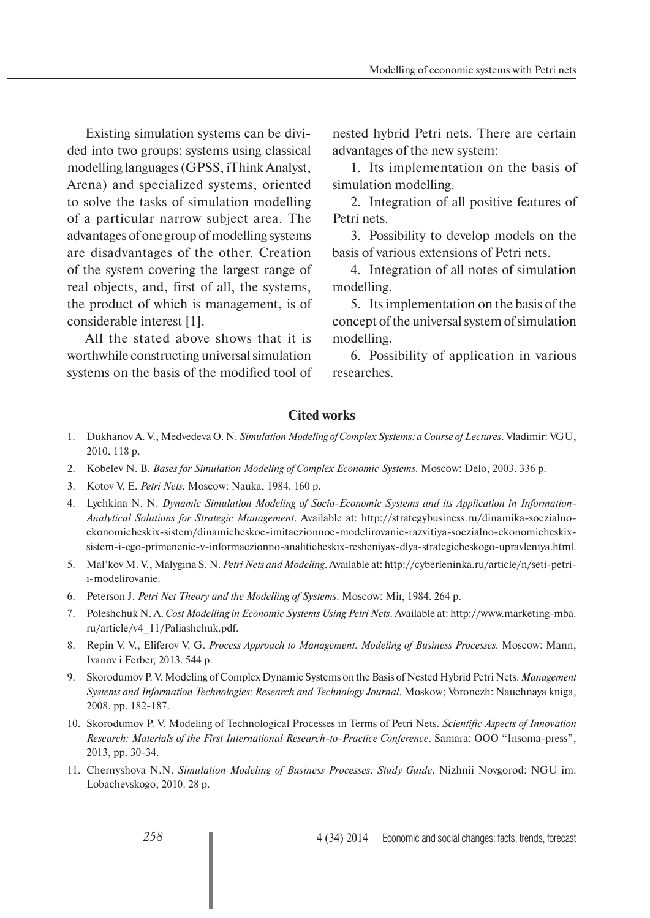Existing simulation systems can be divided into two groups: systems using classical modelling languages (GPSS, iThink Analyst, Arena) and specialized systems, oriented to solve the tasks of simulation modelling of a particular narrow subject area. The advantages of one group of modelling systems are disadvantages of the other. Creation of the system covering the largest range of real objects, and, first of all, the systems, the product of which is management, is of considerable interest [1].

All the stated above shows that it is worthwhile constructing universal simulation systems on the basis of the modified tool of nested hybrid Petri nets. There are certain advantages of the new system:

1. Its implementation on the basis of simulation modelling.

2. Integration of all positive features of Petri nets.

3. Possibility to develop models on the basis of various extensions of Petri nets.

4. Integration of all notes of simulation modelling.

5. Its implementation on the basis of the concept of the universal system of simulation modelling.

6. Possibility of application in various researches.

### **Cited works**

- 1. Dukhanov A. V., Medvedeva O. N. *Simulation Modeling of Complex Systems: a Course of Lectures*. Vladimir: VGU, 2010. 118 p.
- 2. Kobelev N. B. *Bases for Simulation Modeling of Complex Economic Systems*. Moscow: Delo, 2003. 336 p.
- 3. Kotov V. E. *Petri Nets.* Moscow: Nauka, 1984. 160 p.
- 4. Lychkina N. N. *Dynamic Simulation Modeling of Socio-Economic Systems and its Application in Information-Analytical Solutions for Strategic Management*. Available at: http://strategybusiness.ru/dinamika-soczialnoekonomicheskix-sistem/dinamicheskoe-imitaczionnoe-modelirovanie-razvitiya-soczialno-ekonomicheskixsistem-i-ego-primenenie-v-informaczionno-analiticheskix-resheniyax-dlya-strategicheskogo-upravleniya.html.
- 5. Mal'kov M. V., Malygina S. N. *Petri Nets and Modeling*. Available at: http://cyberleninka.ru/article/n/seti-petrii-modelirovanie.
- 6. Peterson J. *Petri Net Theory and the Modelling of Systems*. Moscow: Mir, 1984. 264 p.
- 7. Poleshchuk N. A. *Cost Modelling in Economic Systems Using Petri Nets*. Available at: http://www.marketing-mba. ru/article/v4\_11/Paliashchuk.pdf.
- 8. Repin V. V., Eliferov V. G. *Process Approach to Management. Modeling of Business Processes.* Moscow: Mann, Ivanov i Ferber, 2013. 544 p.
- 9. Skorodumov P. V. Modeling of Complex Dynamic Systems on the Basis of Nested Hybrid Petri Nets. *Management Systems and Information Technologies: Research and Technology Journal*. Moskow; Voronezh: Nauchnaya kniga, 2008, pp. 182-187.
- 10. Skorodumov P. V. Modeling of Technological Processes in Terms of Petri Nets. *Scientific Aspects of Innovation Research: Materials of the First International Research-to-Practice Conference*. Samara: OOO "Insoma-press", 2013, pp. 30-34.
- 11. Chernyshova N.N. *Simulation Modeling of Business Processes: Study Guide*. Nizhnii Novgorod: NGU im. Lobachevskogo, 2010. 28 p.